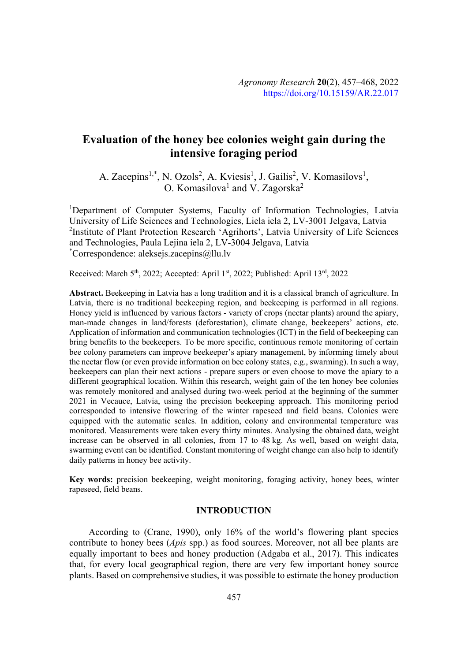# **Evaluation of the honey bee colonies weight gain during the intensive foraging period**

A. Zacepins<sup>1,\*</sup>, N. Ozols<sup>2</sup>, A. Kviesis<sup>1</sup>, J. Gailis<sup>2</sup>, V. Komasilovs<sup>1</sup>, O. Komasilova<sup>1</sup> and V. Zagorska<sup>2</sup>

<sup>1</sup>Department of Computer Systems, Faculty of Information Technologies, Latvia University of Life Sciences and Technologies, Liela iela 2, LV-3001 Jelgava, Latvia <sup>2</sup>Institute of Plant Protection Research 'Agrihorts', Latvia University of Life Sciences and Technologies, Paula Lejina iela 2, LV-3004 Jelgava, Latvia \* Correspondence: aleksejs.zacepins@llu.lv

Received: March 5<sup>th</sup>, 2022; Accepted: April 1<sup>st</sup>, 2022; Published: April 13<sup>rd</sup>, 2022

**Abstract.** Beekeeping in Latvia has a long tradition and it is a classical branch of agriculture. In Latvia, there is no traditional beekeeping region, and beekeeping is performed in all regions. Honey yield is influenced by various factors - variety of crops (nectar plants) around the apiary, man-made changes in land/forests (deforestation), climate change, beekeepers' actions, etc. Application of information and communication technologies (ICT) in the field of beekeeping can bring benefits to the beekeepers. To be more specific, continuous remote monitoring of certain bee colony parameters can improve beekeeper's apiary management, by informing timely about the nectar flow (or even provide information on bee colony states, e.g., swarming). In such a way, beekeepers can plan their next actions - prepare supers or even choose to move the apiary to a different geographical location. Within this research, weight gain of the ten honey bee colonies was remotely monitored and analysed during two-week period at the beginning of the summer 2021 in Vecauce, Latvia, using the precision beekeeping approach. This monitoring period corresponded to intensive flowering of the winter rapeseed and field beans. Colonies were equipped with the automatic scales. In addition, colony and environmental temperature was monitored. Measurements were taken every thirty minutes. Analysing the obtained data, weight increase can be observed in all colonies, from 17 to 48 kg. As well, based on weight data, swarming event can be identified. Constant monitoring of weight change can also help to identify daily patterns in honey bee activity.

**Key words:** precision beekeeping, weight monitoring, foraging activity, honey bees, winter rapeseed, field beans.

# **INTRODUCTION**

According to (Crane, 1990), only 16% of the world's flowering plant species contribute to honey bees (*Apis* spp.) as food sources. Moreover, not all bee plants are equally important to bees and honey production (Adgaba et al., 2017). This indicates that, for every local geographical region, there are very few important honey source plants. Based on comprehensive studies, it was possible to estimate the honey production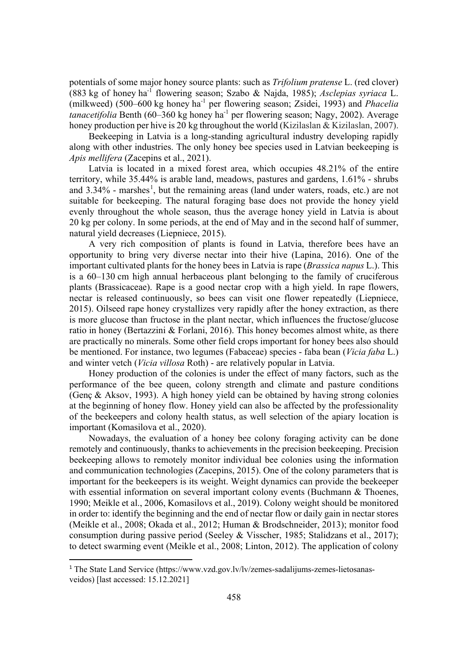potentials of some major honey source plants: such as *Trifolium pratense* L. (red clover) (883 kg of honey ha-1 flowering season; Szabo & Najda, 1985); *Asclepias syriaca* L. (milkweed) (500–600 kg honey ha-1 per flowering season; Zsidei, 1993) and *Phacelia tanacetifolia* Benth (60–360 kg honey ha<sup>-1</sup> per flowering season; Nagy, 2002). Average honey production per hive is 20 kg throughout the world (Kizilaslan & Kizilaslan, 2007).

Beekeeping in Latvia is a long-standing agricultural industry developing rapidly along with other industries. The only honey bee species used in Latvian beekeeping is *Apis mellifera* (Zacepins et al., 2021).

Latvia is located in a mixed forest area, which occupies 48.21% of the entire territory, while 35.44% is arable land, meadows, pastures and gardens, 1.61% - shrubs and  $3.34\%$  - marshes<sup>1</sup>, but the remaining areas (land under waters, roads, etc.) are not suitable for beekeeping. The natural foraging base does not provide the honey yield evenly throughout the whole season, thus the average honey yield in Latvia is about 20 kg per colony. In some periods, at the end of May and in the second half of summer, natural yield decreases (Liepniece, 2015).

A very rich composition of plants is found in Latvia, therefore bees have an opportunity to bring very diverse nectar into their hive (Lapina, 2016). One of the important cultivated plants for the honey bees in Latvia is rape (*Brassica napus* L.). This is a 60–130 cm high annual herbaceous plant belonging to the family of cruciferous plants (Brassicaceae). Rape is a good nectar crop with a high yield. In rape flowers, nectar is released continuously, so bees can visit one flower repeatedly (Liepniece, 2015). Oilseed rape honey crystallizes very rapidly after the honey extraction, as there is more glucose than fructose in the plant nectar, which influences the fructose/glucose ratio in honey (Bertazzini & Forlani, 2016). This honey becomes almost white, as there are practically no minerals. Some other field crops important for honey bees also should be mentioned. For instance, two legumes (Fabaceae) species - faba bean (*Vicia faba* L.) and winter vetch (*Vicia villosa* Roth) - are relatively popular in Latvia.

Honey production of the colonies is under the effect of many factors, such as the performance of the bee queen, colony strength and climate and pasture conditions (Genç & Aksov, 1993). A high honey yield can be obtained by having strong colonies at the beginning of honey flow. Honey yield can also be affected by the professionality of the beekeepers and colony health status, as well selection of the apiary location is important (Komasilova et al., 2020).

Nowadays, the evaluation of a honey bee colony foraging activity can be done remotely and continuously, thanks to achievements in the precision beekeeping. Precision beekeeping allows to remotely monitor individual bee colonies using the information and communication technologies (Zacepins, 2015). One of the colony parameters that is important for the beekeepers is its weight. Weight dynamics can provide the beekeeper with essential information on several important colony events (Buchmann & Thoenes, 1990; Meikle et al., 2006, Komasilovs et al., 2019). Colony weight should be monitored in order to: identify the beginning and the end of nectar flow or daily gain in nectar stores (Meikle et al., 2008; Okada et al., 2012; Human & Brodschneider, 2013); monitor food consumption during passive period (Seeley & Visscher, 1985; Stalidzans et al., 2017); to detect swarming event (Meikle et al., 2008; Linton, 2012). The application of colony

 <sup>1</sup> The State Land Service (https://www.vzd.gov.lv/lv/zemes-sadalijums-zemes-lietosanasveidos) [last accessed: 15.12.2021]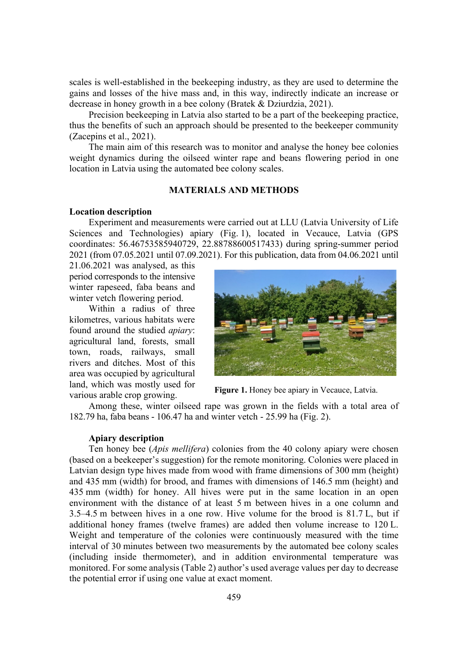scales is well-established in the beekeeping industry, as they are used to determine the gains and losses of the hive mass and, in this way, indirectly indicate an increase or decrease in honey growth in a bee colony (Bratek & Dziurdzia, 2021).

Precision beekeeping in Latvia also started to be a part of the beekeeping practice, thus the benefits of such an approach should be presented to the beekeeper community (Zacepins et al., 2021).

The main aim of this research was to monitor and analyse the honey bee colonies weight dynamics during the oilseed winter rape and beans flowering period in one location in Latvia using the automated bee colony scales.

## **MATERIALS AND METHODS**

## **Location description**

Experiment and measurements were carried out at LLU (Latvia University of Life Sciences and Technologies) apiary (Fig. 1), located in Vecauce, Latvia (GPS coordinates: 56.46753585940729, 22.88788600517433) during spring-summer period 2021 (from 07.05.2021 until 07.09.2021). For this publication, data from 04.06.2021 until

21.06.2021 was analysed, as this period corresponds to the intensive winter rapeseed, faba beans and winter vetch flowering period.

Within a radius of three kilometres, various habitats were found around the studied *apiary*: agricultural land, forests, small town, roads, railways, small rivers and ditches. Most of this area was occupied by agricultural land, which was mostly used for various arable crop growing. **Figure 1.** Honey bee apiary in Vecauce, Latvia.



Among these, winter oilseed rape was grown in the fields with a total area of 182.79 ha, faba beans - 106.47 ha and winter vetch - 25.99 ha (Fig. 2).

#### **Apiary description**

Ten honey bee (*Apis mellifera*) colonies from the 40 colony apiary were chosen (based on a beekeeper's suggestion) for the remote monitoring. Colonies were placed in Latvian design type hives made from wood with frame dimensions of 300 mm (height) and 435 mm (width) for brood, and frames with dimensions of 146.5 mm (height) and 435 mm (width) for honey. All hives were put in the same location in an open environment with the distance of at least 5 m between hives in a one column and 3.5–4.5 m between hives in a one row. Hive volume for the brood is 81.7 L, but if additional honey frames (twelve frames) are added then volume increase to 120 L. Weight and temperature of the colonies were continuously measured with the time interval of 30 minutes between two measurements by the automated bee colony scales (including inside thermometer), and in addition environmental temperature was monitored. For some analysis (Table 2) author's used average values per day to decrease the potential error if using one value at exact moment.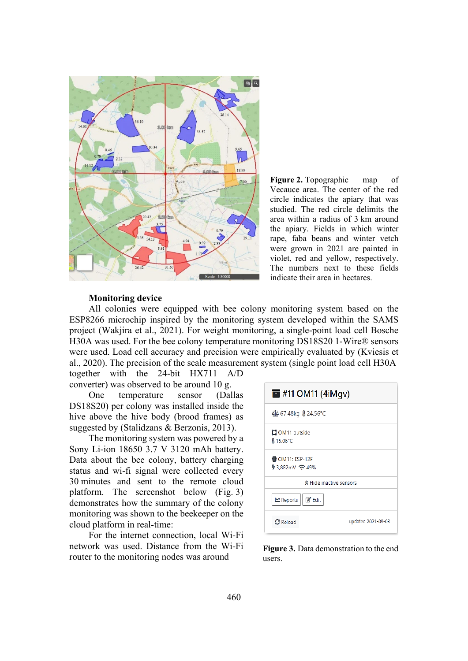

**Figure 2.** Topographic map of Vecauce area. The center of the red circle indicates the apiary that was studied. The red circle delimits the area within a radius of 3 km around the apiary. Fields in which winter rape, faba beans and winter vetch were grown in 2021 are painted in violet, red and yellow, respectively. The numbers next to these fields indicate their area in hectares.

#### **Monitoring device**

All colonies were equipped with bee colony monitoring system based on the ESP8266 microchip inspired by the monitoring system developed within the SAMS project (Wakjira et al., 2021). For weight monitoring, a single-point load cell Bosche H30A was used. For the bee colony temperature monitoring DS18S20 1-Wire® sensors were used. Load cell accuracy and precision were empirically evaluated by (Kviesis et al., 2020). The precision of the scale measurement system (single point load cell H30A

together with the 24-bit HX711 A/D converter) was observed to be around 10 g.

One temperature sensor (Dallas DS18S20) per colony was installed inside the hive above the hive body (brood frames) as suggested by (Stalidzans & Berzonis, 2013).

The monitoring system was powered by a Sony Li-ion 18650 3.7 V 3120 mAh battery. Data about the bee colony, battery charging status and wi-fi signal were collected every 30 minutes and sent to the remote cloud platform. The screenshot below (Fig. 3) demonstrates how the summary of the colony monitoring was shown to the beekeeper on the cloud platform in real-time:

For the internet connection, local Wi-Fi network was used. Distance from the Wi-Fi router to the monitoring nodes was around

| $\blacksquare$ #11 OM11 (4iMgv)       |  |  |  |  |  |  |  |  |
|---------------------------------------|--|--|--|--|--|--|--|--|
| 467.48kg & 24.56°C                    |  |  |  |  |  |  |  |  |
| <b>LI</b> OM11 outside<br>& 15.06°C   |  |  |  |  |  |  |  |  |
| i⊪ OM11: ESP-12F                      |  |  |  |  |  |  |  |  |
| ☆ Hide inactive sensors               |  |  |  |  |  |  |  |  |
| Meports   Ø' Edit                     |  |  |  |  |  |  |  |  |
| updated 2021-09-08<br>$\Omega$ Reload |  |  |  |  |  |  |  |  |

**Figure 3.** Data demonstration to the end users.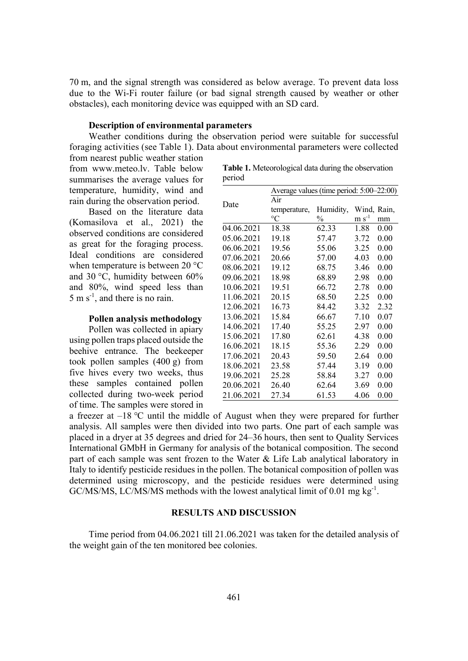70 m, and the signal strength was considered as below average. To prevent data loss due to the Wi-Fi router failure (or bad signal strength caused by weather or other obstacles), each monitoring device was equipped with an SD card.

## **Description of environmental parameters**

Weather conditions during the observation period were suitable for successful foraging activities (see Table 1). Data about environmental parameters were collected

from nearest public weather station from www.meteo.lv. Table below summarises the average values for temperature, humidity, wind and rain during the observation period.

Based on the literature data (Komasilova et al., 2021) the observed conditions are considered as great for the foraging process. Ideal conditions are considered when temperature is between 20 °C and 30 °C, humidity between 60% and 80%, wind speed less than  $5 \text{ m s}^{-1}$ , and there is no rain.

#### **Pollen analysis methodology**

Pollen was collected in apiary using pollen traps placed outside the beehive entrance. The beekeeper took pollen samples (400 g) from five hives every two weeks, thus these samples contained pollen collected during two-week period of time. The samples were stored in

|        | Table 1. Meteorological data during the observation |
|--------|-----------------------------------------------------|
| period |                                                     |

|            | Average values (time period: 5:00-22:00) |               |             |      |  |  |  |  |
|------------|------------------------------------------|---------------|-------------|------|--|--|--|--|
| Date       | Air                                      |               |             |      |  |  |  |  |
|            | temperature,                             | Humidity,     | Wind, Rain, |      |  |  |  |  |
|            | $\rm ^{\circ}C$                          | $\frac{0}{0}$ | $m s^{-1}$  | mm   |  |  |  |  |
| 04.06.2021 | 18.38                                    | 62.33         | 1.88        | 0.00 |  |  |  |  |
| 05.06.2021 | 19.18                                    | 57.47         | 3.72        | 0.00 |  |  |  |  |
| 06.06.2021 | 19.56                                    | 55.06         | 3.25        | 0.00 |  |  |  |  |
| 07.06.2021 | 20.66                                    | 57.00         | 4.03        | 0.00 |  |  |  |  |
| 08.06.2021 | 19.12                                    | 68.75         | 3.46        | 0.00 |  |  |  |  |
| 09.06.2021 | 18.98                                    | 68.89         | 2.98        | 0.00 |  |  |  |  |
| 10.06.2021 | 19.51                                    | 66.72         | 2.78        | 0.00 |  |  |  |  |
| 11.06.2021 | 20.15                                    | 68.50         | 2.25        | 0.00 |  |  |  |  |
| 12.06.2021 | 16.73                                    | 84.42         | 3.32        | 2.32 |  |  |  |  |
| 13.06.2021 | 15.84                                    | 66.67         | 7.10        | 0.07 |  |  |  |  |
| 14.06.2021 | 17.40                                    | 55.25         | 2.97        | 0.00 |  |  |  |  |
| 15.06.2021 | 17.80                                    | 62.61         | 4.38        | 0.00 |  |  |  |  |
| 16.06.2021 | 18.15                                    | 55.36         | 2.29        | 0.00 |  |  |  |  |
| 17.06.2021 | 20.43                                    | 59.50         | 2.64        | 0.00 |  |  |  |  |
| 18.06.2021 | 23.58                                    | 57.44         | 3.19        | 0.00 |  |  |  |  |
| 19.06.2021 | 25.28                                    | 58.84         | 3.27        | 0.00 |  |  |  |  |
| 20.06.2021 | 26.40                                    | 62.64         | 3.69        | 0.00 |  |  |  |  |
| 21.06.2021 | 27.34                                    | 61.53         | 4.06        | 0.00 |  |  |  |  |

a freezer at  $-18$  °C until the middle of August when they were prepared for further analysis. All samples were then divided into two parts. One part of each sample was placed in a dryer at 35 degrees and dried for 24–36 hours, then sent to Quality Services International GMbH in Germany for analysis of the botanical composition. The second part of each sample was sent frozen to the Water & Life Lab analytical laboratory in Italy to identify pesticide residues in the pollen. The botanical composition of pollen was determined using microscopy, and the pesticide residues were determined using GC/MS/MS, LC/MS/MS methods with the lowest analytical limit of 0.01 mg kg<sup>-1</sup>.

## **RESULTS AND DISCUSSION**

Time period from 04.06.2021 till 21.06.2021 was taken for the detailed analysis of the weight gain of the ten monitored bee colonies.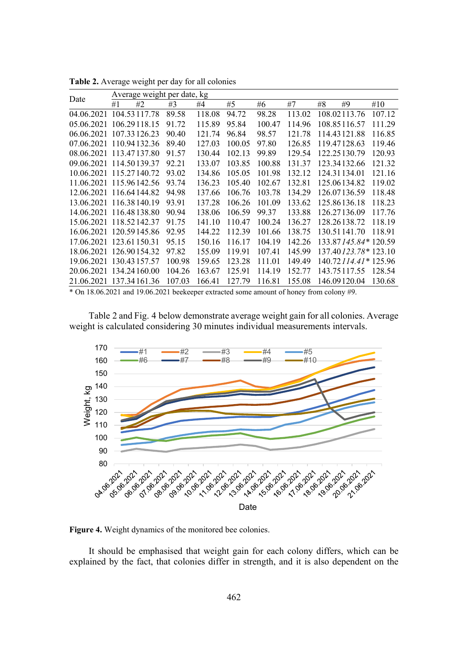| Date                    |    | Average weight per date, kg |        |        |        |        |        |    |                               |        |
|-------------------------|----|-----------------------------|--------|--------|--------|--------|--------|----|-------------------------------|--------|
|                         | #1 | #2                          | #3     | #4     | #5     | #6     | #7     | #8 | #9                            | #10    |
| 04.06.2021              |    | 104.53117.78                | 89.58  | 118.08 | 94.72  | 98.28  | 113.02 |    | 108.02113.76                  | 107.12 |
| 05.06.2021              |    | 106.29118.15                | 91.72  | 115.89 | 95.84  | 100.47 | 114.96 |    | 108.85116.57                  | 111.29 |
| 06.06.2021              |    | 107.33126.23                | 90.40  | 121.74 | 96.84  | 98.57  | 121.78 |    | 114.43121.88                  | 116.85 |
| 07.06.2021              |    | 110.94132.36                | 89.40  | 127.03 | 100.05 | 97.80  | 126.85 |    | 119.47128.63                  | 119.46 |
| 08.06.2021 113.47137.80 |    |                             | 91.57  | 130.44 | 102.13 | 99.89  | 129.54 |    | 122.25130.79                  | 120.93 |
| 09.06.2021 114.50139.37 |    |                             | 92.21  | 133.07 | 103.85 | 100.88 | 131.37 |    | 123.34132.66                  | 121.32 |
| 10.06.2021 115.27140.72 |    |                             | 93.02  | 134.86 | 105.05 | 101.98 | 132.12 |    | 124.31134.01                  | 121.16 |
| 11.06.2021 115.96142.56 |    |                             | 93.74  | 136.23 | 105.40 | 102.67 | 132.81 |    | 125.06134.82                  | 119.02 |
| 12.06.2021 116.64144.82 |    |                             | 94.98  | 137.66 | 106.76 | 103.78 | 134.29 |    | 126.07136.59                  | 118.48 |
| 13.06.2021              |    | 116.38140.19                | 93.91  | 137.28 | 106.26 | 101.09 | 133.62 |    | 125.86136.18                  | 118.23 |
| 14.06.2021 116.48138.80 |    |                             | 90.94  | 138.06 | 106.59 | 99.37  | 133.88 |    | 126.27136.09                  | 117.76 |
| 15.06.2021 118.52142.37 |    |                             | 91.75  | 141.10 | 110.47 | 100.24 | 136.27 |    | 128.26138.72                  | 118.19 |
| 16.06.2021              |    | 120.59145.86                | 92.95  | 144.22 | 112.39 | 101.66 | 138.75 |    | 130.51141.70                  | 118.91 |
| 17.06.2021              |    | 123.61150.31                | 95.15  | 150.16 | 116.17 | 104.19 | 142.26 |    | 133.87145.84*120.59           |        |
| 18.06.2021              |    | 126.90154.32                | 97.82  | 155.09 | 119.91 | 107.41 | 145.99 |    | 137.40 <i>123.78</i> * 123.10 |        |
| 19.06.2021              |    | 130.43157.57                | 100.98 | 159.65 | 123.28 | 111.01 | 149.49 |    | 140.72114.41*125.96           |        |
| 20.06.2021              |    | 134.24160.00                | 104.26 | 163.67 | 125.91 | 114.19 | 152.77 |    | 143.75117.55                  | 128.54 |
| 21.06.2021              |    | 137.34161.36                | 107.03 | 166.41 | 127.79 | 116.81 | 155.08 |    | 146.09120.04                  | 130.68 |

**Table 2.** Average weight per day for all colonies

\* On 18.06.2021 and 19.06.2021 beekeeper extracted some amount of honey from colony #9.

Table 2 and Fig. 4 below demonstrate average weight gain for all colonies. Average weight is calculated considering 30 minutes individual measurements intervals.



**Figure 4.** Weight dynamics of the monitored bee colonies.

It should be emphasised that weight gain for each colony differs, which can be explained by the fact, that colonies differ in strength, and it is also dependent on the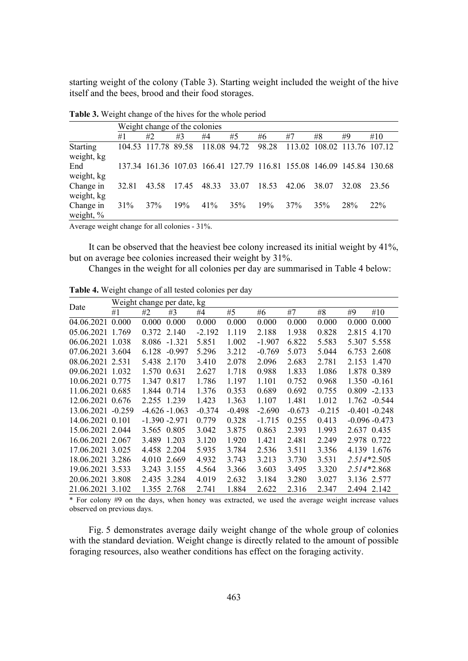starting weight of the colony (Table 3). Starting weight included the weight of the hive itself and the bees, brood and their food storages.

|                               |       | Weight change of the colonies                                         |       |       |              |       |                             |       |       |        |  |
|-------------------------------|-------|-----------------------------------------------------------------------|-------|-------|--------------|-------|-----------------------------|-------|-------|--------|--|
|                               | #1    | #2                                                                    | #3    | #4    | #5           | #6    | #7                          | #8    | #9    | #10    |  |
| <b>Starting</b><br>weight, kg |       | 104.53 117.78 89.58                                                   |       |       | 118.08 94.72 | 98.28 | 113.02 108.02 113.76 107.12 |       |       |        |  |
| End<br>weight, kg             |       | 137.34 161.36 107.03 166.41 127.79 116.81 155.08 146.09 145.84 130.68 |       |       |              |       |                             |       |       |        |  |
| Change in<br>weight, kg       | 32.81 | 43.58                                                                 | 17.45 | 48.33 | 33.07        | 18.53 | 42.06                       | 38.07 | 32.08 | 23.56  |  |
| Change in<br>weight, %        | 31%   | 37%                                                                   | 19%   | 41%   | 35%          | 19%   | 37%                         | 35%   | 28%   | $22\%$ |  |

**Table 3.** Weight change of the hives for the whole period

Average weight change for all colonies - 31%.

It can be observed that the heaviest bee colony increased its initial weight by 41%, but on average bee colonies increased their weight by 31%.

Changes in the weight for all colonies per day are summarised in Table 4 below:

|                   |    | Weight change per date, kg |          |          |          |          |          |          |               |                  |
|-------------------|----|----------------------------|----------|----------|----------|----------|----------|----------|---------------|------------------|
| Date              | #1 | #2                         | #3       | #4       | #5       | #6       | #7       | #8       | #9            | #10              |
| 04.06.2021 0.000  |    | 0.000                      | 0.000    | 0.000    | 0.000    | 0.000    | 0.000    | 0.000    | 0.000         | 0.000            |
| 05.06.2021 1.769  |    | 0.372                      | 2.140    | $-2.192$ | 1.119    | 2.188    | 1.938    | 0.828    | 2.815         | 4.170            |
| 06.06.2021 1.038  |    | 8.086 -1.321               |          | 5.851    | 1.002    | $-1.907$ | 6.822    | 5.583    | 5.307 5.558   |                  |
| 07.06.2021 3.604  |    | 6.128                      | $-0.997$ | 5.296    | 3.212    | $-0.769$ | 5.073    | 5.044    | 6.753 2.608   |                  |
| 08.06.2021 2.531  |    | 5.438 2.170                |          | 3.410    | 2.078    | 2.096    | 2.683    | 2.781    | 2.153 1.470   |                  |
| 09.06.2021 1.032  |    | 1.570                      | 0.631    | 2.627    | 1.718    | 0.988    | 1.833    | 1.086    | 1.878 0.389   |                  |
| 10.06.2021 0.775  |    | 1.347 0.817                |          | 1.786    | 1.197    | 1.101    | 0.752    | 0.968    | 1.350         | $-0.161$         |
| 11.06.2021 0.685  |    | 1.844                      | 0.714    | 1.376    | 0.353    | 0.689    | 0.692    | 0.755    |               | $0.809 -2.133$   |
| 12.06.2021 0.676  |    | 2.255 1.239                |          | 1.423    | 1.363    | 1.107    | 1.481    | 1.012    |               | 1.762 -0.544     |
| 13.06.2021 -0.259 |    | $-4.626 - 1.063$           |          | $-0.374$ | $-0.498$ | $-2.690$ | $-0.673$ | $-0.215$ |               | $-0.401 - 0.248$ |
| 14.06.2021 0.101  |    | $-1.390 - 2.971$           |          | 0.779    | 0.328    | $-1.715$ | 0.255    | 0.413    |               | $-0.096 - 0.473$ |
| 15.06.2021 2.044  |    | 3.565 0.805                |          | 3.042    | 3.875    | 0.863    | 2.393    | 1.993    | 2.637 0.435   |                  |
| 16.06.2021 2.067  |    | 3.489                      | 1.203    | 3.120    | 1.920    | 1.421    | 2.481    | 2.249    | 2.978 0.722   |                  |
| 17.06.2021 3.025  |    | 4.458 2.204                |          | 5.935    | 3.784    | 2.536    | 3.511    | 3.356    | 4.139 1.676   |                  |
| 18.06.2021 3.286  |    | 4.010                      | 2.669    | 4.932    | 3.743    | 3.213    | 3.730    | 3.531    | $2.514*2.505$ |                  |
| 19.06.2021 3.533  |    | 3.243 3.155                |          | 4.564    | 3.366    | 3.603    | 3.495    | 3.320    | 2.514*2.868   |                  |
| 20.06.2021 3.808  |    | 2.435                      | 3.284    | 4.019    | 2.632    | 3.184    | 3.280    | 3.027    | 3.136 2.577   |                  |
| 21.06.2021 3.102  |    | 1.355 2.768                |          | 2.741    | 1.884    | 2.622    | 2.316    | 2.347    | 2.494 2.142   |                  |

**Table 4.** Weight change of all tested colonies per day

\* For colony #9 on the days, when honey was extracted, we used the average weight increase values observed on previous days.

Fig. 5 demonstrates average daily weight change of the whole group of colonies with the standard deviation. Weight change is directly related to the amount of possible foraging resources, also weather conditions has effect on the foraging activity.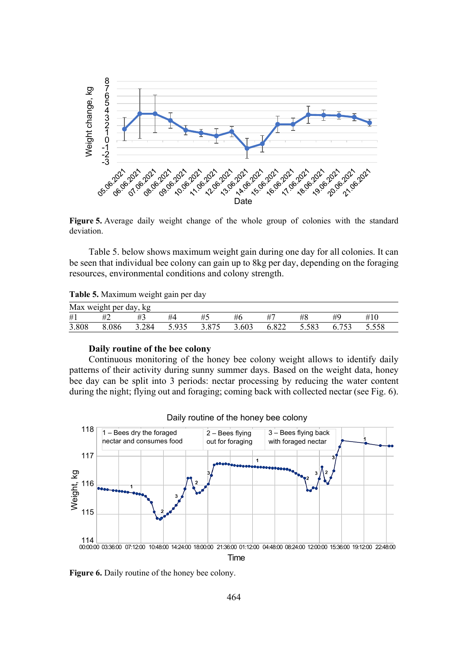

**Figure 5.** Average daily weight change of the whole group of colonies with the standard deviation.

Table 5. below shows maximum weight gain during one day for all colonies. It can be seen that individual bee colony can gain up to 8kg per day, depending on the foraging resources, environmental conditions and colony strength.

| Table 5. Maximum weight gain per day |  |  |  |  |  |  |  |  |
|--------------------------------------|--|--|--|--|--|--|--|--|
|--------------------------------------|--|--|--|--|--|--|--|--|

| Max weight per day, kg |       |       |       |       |       |       |       |       |       |  |
|------------------------|-------|-------|-------|-------|-------|-------|-------|-------|-------|--|
| #1                     | #2    | #3    | #4    |       | #6    |       | #8    |       | #10   |  |
| 3.808                  | 8.086 | 3.284 | 5.935 | 3.875 | 3.603 | 6.822 | 5.583 | 6.753 | 5.558 |  |

# **Daily routine of the bee colony**

Continuous monitoring of the honey bee colony weight allows to identify daily patterns of their activity during sunny summer days. Based on the weight data, honey bee day can be split into 3 periods: nectar processing by reducing the water content during the night; flying out and foraging; coming back with collected nectar (see Fig. 6).



Daily routine of the honey bee colony

**Figure 6.** Daily routine of the honey bee colony.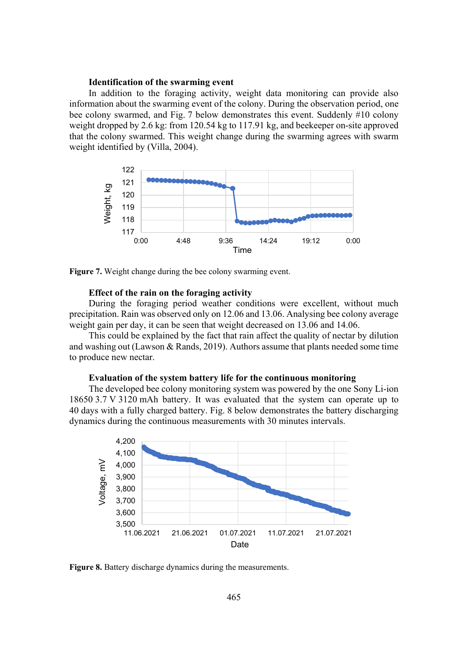## **Identification of the swarming event**

In addition to the foraging activity, weight data monitoring can provide also information about the swarming event of the colony. During the observation period, one bee colony swarmed, and Fig. 7 below demonstrates this event. Suddenly #10 colony weight dropped by 2.6 kg: from 120.54 kg to 117.91 kg, and beekeeper on-site approved that the colony swarmed. This weight change during the swarming agrees with swarm weight identified by (Villa, 2004).



**Figure 7.** Weight change during the bee colony swarming event.

#### **Effect of the rain on the foraging activity**

During the foraging period weather conditions were excellent, without much precipitation. Rain was observed only on 12.06 and 13.06. Analysing bee colony average weight gain per day, it can be seen that weight decreased on 13.06 and 14.06.

This could be explained by the fact that rain affect the quality of nectar by dilution and washing out (Lawson & Rands, 2019). Authors assume that plants needed some time to produce new nectar.

### **Evaluation of the system battery life for the continuous monitoring**

The developed bee colony monitoring system was powered by the one Sony Li-ion 18650 3.7 V 3120 mAh battery. It was evaluated that the system can operate up to 40 days with a fully charged battery. Fig. 8 below demonstrates the battery discharging dynamics during the continuous measurements with 30 minutes intervals.



**Figure 8.** Battery discharge dynamics during the measurements.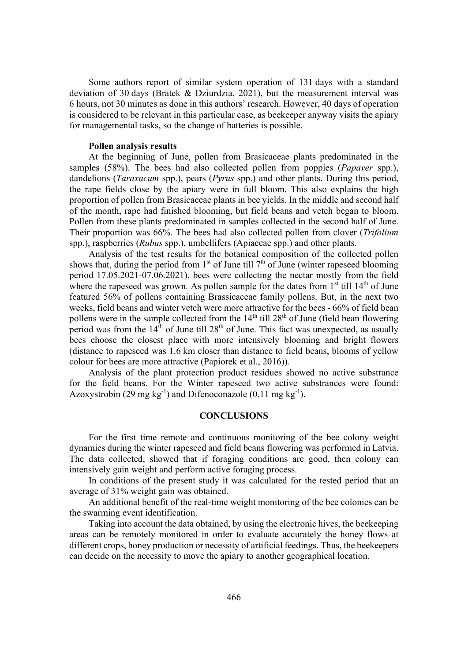Some authors report of similar system operation of 131 days with a standard deviation of 30 days (Bratek & Dziurdzia, 2021), but the measurement interval was 6 hours, not 30 minutes as done in this authors' research. However, 40 days of operation is considered to be relevant in this particular case, as beekeeper anyway visits the apiary for managemental tasks, so the change of batteries is possible.

#### **Pollen analysis results**

At the beginning of June, pollen from Brasicaceae plants predominated in the samples (58%). The bees had also collected pollen from poppies (*Papaver* spp.), dandelions (*Taraxacum* spp.), pears (*Pyrus* spp.) and other plants. During this period, the rape fields close by the apiary were in full bloom. This also explains the high proportion of pollen from Brasicaceae plants in bee yields. In the middle and second half of the month, rape had finished blooming, but field beans and vetch began to bloom. Pollen from these plants predominated in samples collected in the second half of June. Their proportion was 66%. The bees had also collected pollen from clover (*Trifolium* spp.), raspberries (*Rubus* spp.), umbellifers (Apiaceae spp.) and other plants.

Analysis of the test results for the botanical composition of the collected pollen shows that, during the period from  $1<sup>st</sup>$  of June till  $7<sup>th</sup>$  of June (winter rapeseed blooming period 17.05.2021-07.06.2021), bees were collecting the nectar mostly from the field where the rapeseed was grown. As pollen sample for the dates from  $1<sup>st</sup>$  till  $14<sup>th</sup>$  of June featured 56% of pollens containing Brassicaceae family pollens. But, in the next two weeks, field beans and winter vetch were more attractive for the bees - 66% of field bean pollens were in the sample collected from the  $14<sup>th</sup>$  till  $28<sup>th</sup>$  of June (field bean flowering period was from the  $14<sup>th</sup>$  of June till  $28<sup>th</sup>$  of June. This fact was unexpected, as usually bees choose the closest place with more intensively blooming and bright flowers (distance to rapeseed was 1.6 km closer than distance to field beans, blooms of yellow colour for bees are more attractive (Papiorek et al., 2016)).

Analysis of the plant protection product residues showed no active substrance for the field beans. For the Winter rapeseed two active substrances were found: Azoxystrobin (29 mg  $kg^{-1}$ ) and Difenoconazole (0.11 mg  $kg^{-1}$ ).

## **CONCLUSIONS**

For the first time remote and continuous monitoring of the bee colony weight dynamics during the winter rapeseed and field beans flowering was performed in Latvia. The data collected, showed that if foraging conditions are good, then colony can intensively gain weight and perform active foraging process.

In conditions of the present study it was calculated for the tested period that an average of 31% weight gain was obtained.

An additional benefit of the real-time weight monitoring of the bee colonies can be the swarming event identification.

Taking into account the data obtained, by using the electronic hives, the beekeeping areas can be remotely monitored in order to evaluate accurately the honey flows at different crops, honey production or necessity of artificial feedings. Thus, the beekeepers can decide on the necessity to move the apiary to another geographical location.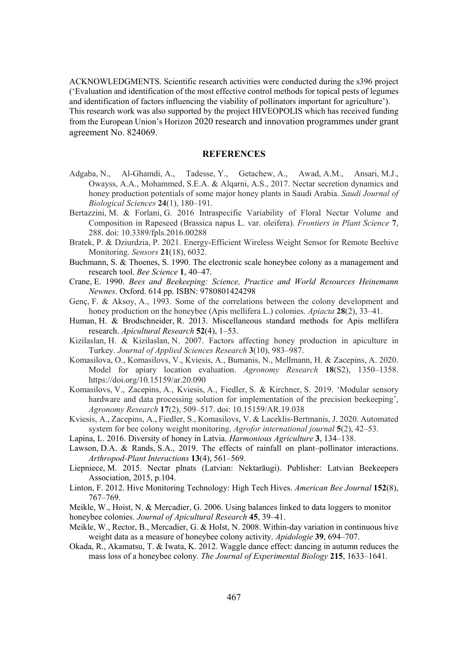ACKNOWLEDGMENTS. Scientific research activities were conducted during the s396 project ('Evaluation and identification of the most effective control methods for topical pests of legumes and identification of factors influencing the viability of pollinators important for agriculture'). This research work was also supported by the project HIVEOPOLIS which has received funding from the European Union's Horizon 2020 research and innovation programmes under grant agreement No. 824069.

#### **REFERENCES**

- Adgaba, N., Al-Ghamdi, A., Tadesse, Y., Getachew, A., Awad, A.M., Ansari, M.J., Owayss, A.A., Mohammed, S.E.A. & Alqarni, A.S., 2017. Nectar secretion dynamics and honey production potentials of some major honey plants in Saudi Arabia. *Saudi Journal of Biological Sciences* 24(1), 180–191.
- Bertazzini, M. & Forlani, G. 2016 Intraspecific Variability of Floral Nectar Volume and Composition in Rapeseed (Brassica napus L. var. oleifera). *Frontiers in Plant Science* 7, 288. doi: 10.3389/fpls.2016.00288
- Bratek, P. & Dziurdzia, P. 2021. Energy-Efficient Wireless Weight Sensor for Remote Beehive Monitoring. *Sensors* **21**(18), 6032.
- Buchmann, S. & Thoenes, S. 1990. The electronic scale honeybee colony as a management and research tool. *Bee Science* 1, 40–47.
- Crane, E. 1990. *Bees and Beekeeping: Science, Practice and World Resources Heinemann Newnes.* Oxford. 614 pp. ISBN: 9780801424298
- Genç, F. & Aksoy, A., 1993. Some of the correlations between the colony development and honey production on the honeybee (Apis mellifera L.) colonies. *Apiacta* 28(2), 33–41.
- Human, H. & Brodschneider, R. 2013. Miscellaneous standard methods for Apis mellifera research. *Apicultural Research* 52(4), 1–53.
- Kizilaslan, H. & Kizilaslan, N. 2007. Factors affecting honey production in apiculture in Turkey. *Journal of Applied Sciences Research* 3(10), 983–987.
- Komasilova, O., Komasilovs, V., Kviesis, A., Bumanis, N., Mellmann, H. & Zacepins, A. 2020. Model for apiary location evaluation. *Agronomy Research* **18**(S2), 1350–1358. https://doi.org/10.15159/ar.20.090
- Komasilovs, V., Zacepins, A., Kviesis, A., Fiedler, S. & Kirchner, S. 2019. 'Modular sensory hardware and data processing solution for implementation of the precision beekeeping', *Agronomy Research* **17**(2), 509–517. doi: 10.15159/AR.19.038
- Kviesis, A., Zacepins, A., Fiedler, S., Komasilovs, V. & Laceklis-Bertmanis, J. 2020. Automated system for bee colony weight monitoring. *Agrofor international journal* 5(2), 42–53.
- Lapina, L. 2016. Diversity of honey in Latvia. *Harmonious Agriculture* 3, 134–138.
- Lawson, D.A. & Rands, S.A., 2019. The effects of rainfall on plant–pollinator interactions. *Arthropod-Plant Interactions* 13(4), 561–569.
- Liepniece, M. 2015. Nectar plnats (Latvian: Nektarāugi). Publisher: Latvian Beekeepers Association, 2015, p.104.
- Linton, F. 2012. Hive Monitoring Technology: High Tech Hives. *American Bee Journal* 152(8), 767–769.
- Meikle, W., Hoist, N. & Mercadier, G. 2006. Using balances linked to data loggers to monitor
- honeybee colonies. *Journal of Apicultural Research* 45, 39–41.
- Meikle, W., Rector, B., Mercadier, G. & Holst, N. 2008. Within-day variation in continuous hive weight data as a measure of honeybee colony activity. *Apidologie* 39, 694–707.
- Okada, R., Akamatsu, T. & Iwata, K. 2012. Waggle dance effect: dancing in autumn reduces the mass loss of a honeybee colony. *The Journal of Experimental Biology* 215, 1633–1641.